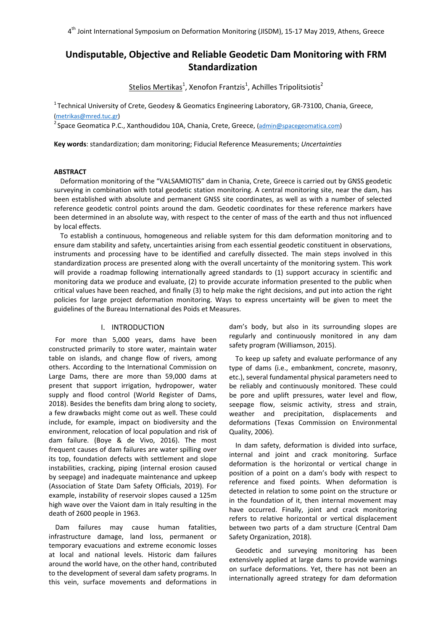# **Undisputable, Objective and Reliable Geodetic Dam Monitoring with FRM Standardization**

 $Stelios$  Mertikas<sup>1</sup>, Xenofon Frantzis<sup>1</sup>, Achilles Tripolitsiotis<sup>2</sup>

<sup>1</sup> Technical University of Crete, Geodesy & Geomatics Engineering Laboratory, GR-73100, Chania, Greece, (metrikas@mred.tuc.gr)

<sup>2</sup> Space Geomatica P.C., Xanthoudidou 10A, Chania, Crete, Greece, (admin@spacegeomatica.com)

**Key words**: standardization; dam monitoring; Fiducial Reference Measurements; *Uncertainties*

### **ABSTRACT**

Deformation monitoring of the "VALSAMIOTIS" dam in Chania, Crete, Greece is carried out by GNSS geodetic surveying in combination with total geodetic station monitoring. A central monitoring site, near the dam, has been established with absolute and permanent GNSS site coordinates, as well as with a number of selected reference geodetic control points around the dam. Geodetic coordinates for these reference markers have been determined in an absolute way, with respect to the center of mass of the earth and thus not influenced by local effects.

To establish a continuous, homogeneous and reliable system for this dam deformation monitoring and to ensure dam stability and safety, uncertainties arising from each essential geodetic constituent in observations, instruments and processing have to be identified and carefully dissected. The main steps involved in this standardization process are presented along with the overall uncertainty of the monitoring system. This work will provide a roadmap following internationally agreed standards to (1) support accuracy in scientific and monitoring data we produce and evaluate, (2) to provide accurate information presented to the public when critical values have been reached, and finally (3) to help make the right decisions, and put into action the right policies for large project deformation monitoring. Ways to express uncertainty will be given to meet the guidelines of the Bureau International des Poids et Measures.

# I. INTRODUCTION

For more than 5,000 years, dams have been constructed primarily to store water, maintain water table on islands, and change flow of rivers, among others. According to the International Commission on Large Dams, there are more than 59,000 dams at present that support irrigation, hydropower, water supply and flood control (World Register of Dams, 2018). Besides the benefits dam bring along to society, a few drawbacks might come out as well. These could include, for example, impact on biodiversity and the environment, relocation of local population and risk of dam failure. (Boye & de Vivo, 2016). The most frequent causes of dam failures are water spilling over its top, foundation defects with settlement and slope instabilities, cracking, piping (internal erosion caused by seepage) and inadequate maintenance and upkeep (Association of State Dam Safety Officials, 2019). For example, instability of reservoir slopes caused a 125m high wave over the Vaiont dam in Italy resulting in the death of 2600 people in 1963.

Dam failures may cause human fatalities, infrastructure damage, land loss, permanent or temporary evacuations and extreme economic losses at local and national levels. Historic dam failures around the world have, on the other hand, contributed to the development of several dam safety programs. In this vein, surface movements and deformations in

dam's body, but also in its surrounding slopes are regularly and continuously monitored in any dam safety program (Williamson, 2015).

To keep up safety and evaluate performance of any type of dams (i.e., embankment, concrete, masonry, etc.), several fundamental physical parameters need to be reliably and continuously monitored. These could be pore and uplift pressures, water level and flow, seepage flow, seismic activity, stress and strain, weather and precipitation, displacements and deformations (Texas Commission on Environmental Quality, 2006).

In dam safety, deformation is divided into surface, internal and joint and crack monitoring. Surface deformation is the horizontal or vertical change in position of a point on a dam's body with respect to reference and fixed points. When deformation is detected in relation to some point on the structure or in the foundation of it, then internal movement may have occurred. Finally, joint and crack monitoring refers to relative horizontal or vertical displacement between two parts of a dam structure (Central Dam Safety Organization, 2018).

Geodetic and surveying monitoring has been extensively applied at large dams to provide warnings on surface deformations. Yet, there has not been an internationally agreed strategy for dam deformation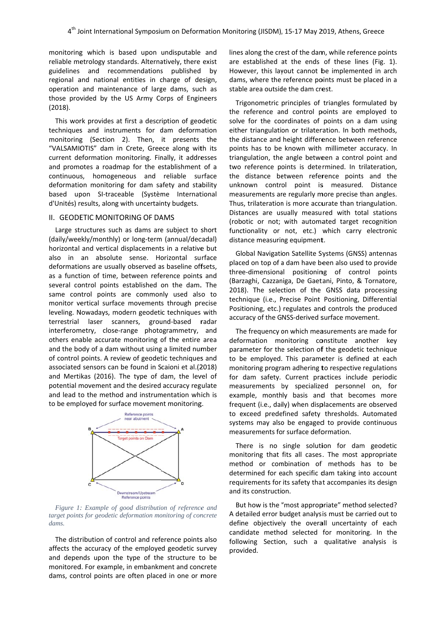monitoring g which is b based upon undisputable and reliable metrology standards. Alternatively, there exist guidelines and reco mmendations s published by regional and national entities in charge of design, operation and maintenance of large dams, such as those provided by the US Army Corps of Engineers (2018).

This work provides at first a description of geodetic techniques and instruments for dam deformation monitoring g (Section 2). Then, it presents the "VALSAMIOTIS" dam in Crete, Greece along with its current deformation monitoring. Finally, it addresses and promotes a roadmap for the establishment of a continuous, homogeneous and reliable surface deformation monitoring for dam safety and stability based upon SI-traceable (Système International d'Unités) results, along with uncertainty budgets.

## II. GEODETIC MONITORING OF DAMS

Large structures such as dams are subject to short (daily/weekly/monthly) or long-term (annual/decadal) horizontal and vertical displacements in a relative but also in an absolute sense. Horizontal surface deformations are usually observed as baseline offsets, as a function of time, between reference points and several control points established on the dam. The same control points are commonly used also to monitor vertical surface movements through precise leveling. Nowadays, modern geodetic techniques with terrestrial laser scanners, ground-based radar interferometry, close-range photogrammetry, and others enable accurate monitoring of the entire area and the body of a dam without using a limited number of control points. A review of geodetic techniques and associated sensors can be found in S Scaioni et al.(2 2018) and Mertikas (2016). The type of dam, the level of potential m movement an d the desired accuracy reg ulate and lead to the method and instrumentation which is to be employed for surface movement monitoring.



Figure 1: Example of good distribution of reference and *target points for geodetic deformation monitoring of concrete dams.* 

The distribution of control and reference points also affects the accuracy of the employed geodetic survey and depends upon the type of the structure to be monitored. For example, in embankment and concrete dams, control points are often placed in one or more lines along the crest of the dam, while reference points are established at the ends of these lin es (Fig. 1). However, this layout cannot be implemented in arch dams, where the reference points must be placed in a stable area outside the dam crest.

Trigonometric principles of triangles formulated by the reference and control points are employed to solve for the coordinates of points on a dam using either triangulation or trilateration. In both methods, the distance and height difference between reference points has to be known with millimeter accuracy. In triangulation, the angle between a control point and two reference points is determined. In trilateration, the distance between reference points and the unknown control point is measured. Distance measurements are regularly more precise than angles. Thus, trilateration is more accurate than triangulation. Distances are usually measured with total stations (rob botic or not; with automa ated target recognition functionality or not, etc.) which carry electronic distance measuring equipment.

Global Navigation Satellite Systems (GNSS) antennas placed on top of a dam have been also used to provide three-dimensional positioning of control points (Barzaghi, Cazzaniga, De Gaetani, Pinto, & Tornatore, 2018). The selection of the GNSS data processing tech hnique (i.e., P Precise Point Positioning, Differential Positioning, etc.) regulates and controls the produced accuracy of the GNSS-derived surface movement.

The frequency on which measurements are made for deformation monitoring constitute another key parameter for the selection of the geodetic technique to be employed. This parameter is defined at each monitoring program adhering to respective regulations for dam safety. Current practices include periodic measurements by specialized personnel on, for example, monthly basis and that becomes more frequent (i.e., daily) when displacements are observed to exceed predefined safety thresholds. Automated systems may also be engaged to provide continuous measurements for surface deformation.

There is no single solution for dam geodetic monitoring that fits all cases. The most appropriate method or combination of methods has to be determined for each specific dam taking into account requirements for its safety that accompanies its design and its constructi on.

But how is the "most appropriate" method selected? A detailed error budget analysis must be carried out to define objectively the overall uncertainty of each candidate method selected for monitoring. In the following Section, such a qualitative analysis is provided.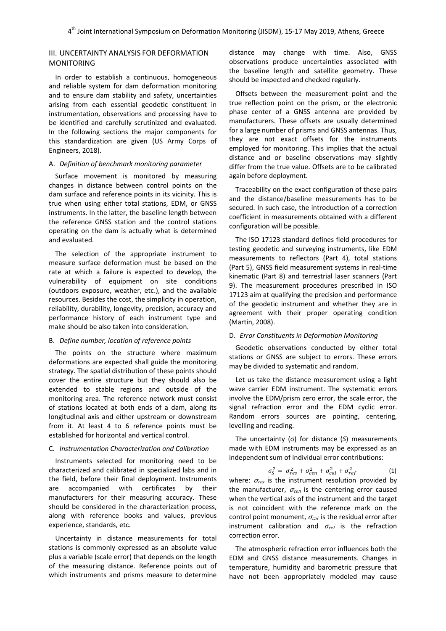# III. UNCERTAINTY ANALYSIS FOR DEFORMATION MONITORING

In order to establish a continuous, homogeneous and reliable system for dam deformation monitoring and to ensure dam stability and safety, uncertainties arising from each essential geodetic constituent in instrumentation, observations and processing have to be identified and carefully scrutinized and evaluated. In the following sections the major components for this standardization are given (US Army Corps of Engineers, 2018).

#### A. *Definition of benchmark monitoring parameter*

Surface movement is monitored by measuring changes in distance between control points on the dam surface and reference points in its vicinity. This is true when using either total stations, EDM, or GNSS instruments. In the latter, the baseline length between the reference GNSS station and the control stations operating on the dam is actually what is determined and evaluated.

The selection of the appropriate instrument to measure surface deformation must be based on the rate at which a failure is expected to develop, the vulnerability of equipment on site conditions (outdoors exposure, weather, etc.), and the available resources. Besides the cost, the simplicity in operation, reliability, durability, longevity, precision, accuracy and performance history of each instrument type and make should be also taken into consideration.

#### B. *Define number, location of reference points*

The points on the structure where maximum deformations are expected shall guide the monitoring strategy. The spatial distribution of these points should cover the entire structure but they should also be extended to stable regions and outside of the monitoring area. The reference network must consist of stations located at both ends of a dam, along its longitudinal axis and either upstream or downstream from it. At least 4 to 6 reference points must be established for horizontal and vertical control.

### C. *Instrumentation Characterization and Calibration*

Instruments selected for monitoring need to be characterized and calibrated in specialized labs and in the field, before their final deployment. Instruments are accompanied with certificates by their manufacturers for their measuring accuracy. These should be considered in the characterization process, along with reference books and values, previous experience, standards, etc.

Uncertainty in distance measurements for total stations is commonly expressed as an absolute value plus a variable (scale error) that depends on the length of the measuring distance. Reference points out of which instruments and prisms measure to determine distance may change with time. Also, GNSS observations produce uncertainties associated with the baseline length and satellite geometry. These should be inspected and checked regularly.

Offsets between the measurement point and the true reflection point on the prism, or the electronic phase center of a GNSS antenna are provided by manufacturers. These offsets are usually determined for a large number of prisms and GNSS antennas. Thus, they are not exact offsets for the instruments employed for monitoring. This implies that the actual distance and or baseline observations may slightly differ from the true value. Offsets are to be calibrated again before deployment.

Traceability on the exact configuration of these pairs and the distance/baseline measurements has to be secured. In such case, the introduction of a correction coefficient in measurements obtained with a different configuration will be possible.

The ISO 17123 standard defines field procedures for testing geodetic and surveying instruments, like EDM measurements to reflectors (Part 4), total stations (Part 5), GNSS field measurement systems in real‐time kinematic (Part 8) and terrestrial laser scanners (Part 9). The measurement procedures prescribed in ISO 17123 aim at qualifying the precision and performance of the geodetic instrument and whether they are in agreement with their proper operating condition (Martin, 2008).

#### D. *Error Constituents in Deformation Monitoring*

Geodetic observations conducted by either total stations or GNSS are subject to errors. These errors may be divided to systematic and random.

Let us take the distance measurement using a light wave carrier EDM instrument. The systematic errors involve the EDM/prism zero error, the scale error, the signal refraction error and the EDM cyclic error. Random errors sources are pointing, centering, levelling and reading.

The uncertainty (σ) for distance (*S*) measurements made with EDM instruments may be expressed as an independent sum of individual error contributions:

$$
\sigma_S^2 = \sigma_{res}^2 + \sigma_{cen}^2 + \sigma_{cal}^2 + \sigma_{ref}^2 \tag{1}
$$

where:  $\sigma_{res}$  is the instrument resolution provided by the manufacturer,  $\sigma_{cen}$  is the centering error caused when the vertical axis of the instrument and the target is not coincident with the reference mark on the control point monument,  $\sigma_{cal}$  is the residual error after instrument calibration and  $\sigma_{ref}$  is the refraction correction error.

The atmospheric refraction error influences both the EDM and GNSS distance measurements. Changes in temperature, humidity and barometric pressure that have not been appropriately modeled may cause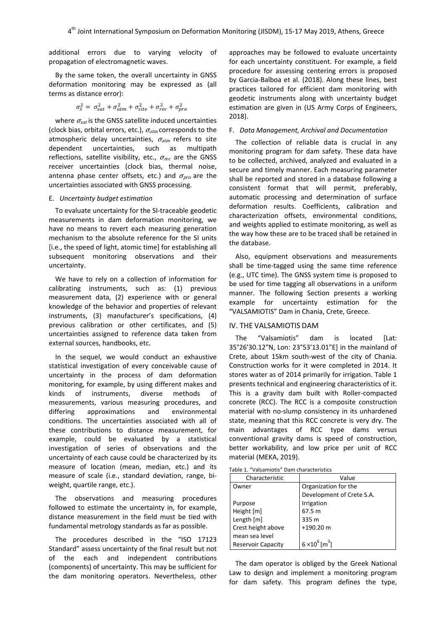additional errors due to varying velocity of propagation of electromagnetic waves.

By the same token, the overall uncertainty in GNSS deformation monitoring may be expressed as (all terms as distance error):

$$
\sigma_S^2 = \sigma_{sat}^2 + \sigma_{atm}^2 + \sigma_{site}^2 + \sigma_{rec}^2 + \sigma_{pro}^2
$$

where  $\sigma_{sat}$  is the GNSS satellite induced uncertainties (clock bias, orbital errors, etc.),  $\sigma_{atm}$  corresponds to the atmospheric delay uncertainties,  $\sigma_{atm}$  refers to site dependent uncertainties, such as multipath reflections, satellite visibility, etc.,  $\sigma_{rec}$  are the GNSS receiver uncertainties (clock bias, thermal noise, antenna phase center offsets, etc.) and  $\sigma_{\text{pro}}$  are the uncertainties associated with GNSS processing.

#### E. *Uncertainty budget estimation*

To evaluate uncertainty for the SI‐traceable geodetic measurements in dam deformation monitoring, we have no means to revert each measuring generation mechanism to the absolute reference for the SI units [i.e., the speed of light, atomic time] for establishing all subsequent monitoring observations and their uncertainty.

We have to rely on a collection of information for calibrating instruments, such as: (1) previous measurement data, (2) experience with or general knowledge of the behavior and properties of relevant instruments, (3) manufacturer's specifications, (4) previous calibration or other certificates, and (5) uncertainties assigned to reference data taken from external sources, handbooks, etc.

In the sequel, we would conduct an exhaustive statistical investigation of every conceivable cause of uncertainty in the process of dam deformation monitoring, for example, by using different makes and kinds of instruments, diverse methods of measurements, various measuring procedures, and differing approximations and environmental conditions. The uncertainties associated with all of these contributions to distance measurement, for example, could be evaluated by a statistical investigation of series of observations and the uncertainty of each cause could be characterized by its measure of location (mean, median, etc.) and its measure of scale (i.e., standard deviation, range, bi‐ weight, quartile range, etc.).

The observations and measuring procedures followed to estimate the uncertainty in, for example, distance measurement in the field must be tied with fundamental metrology standards as far as possible.

The procedures described in the "ISO 17123 Standard" assess uncertainty of the final result but not of the each and independent contributions (components) of uncertainty. This may be sufficient for the dam monitoring operators. Nevertheless, other approaches may be followed to evaluate uncertainty for each uncertainty constituent. For example, a field procedure for assessing centering errors is proposed by Garcia‐Balboa et al. (2018). Along these lines, best practices tailored for efficient dam monitoring with geodetic instruments along with uncertainty budget estimation are given in (US Army Corps of Engineers, 2018).

#### F. *Data Management, Archival and Documentation*

The collection of reliable data is crucial in any monitoring program for dam safety. These data have to be collected, archived, analyzed and evaluated in a secure and timely manner. Each measuring parameter shall be reported and stored in a database following a consistent format that will permit, preferably, automatic processing and determination of surface deformation results. Coefficients, calibration and characterization offsets, environmental conditions, and weights applied to estimate monitoring, as well as the way how these are to be traced shall be retained in the database.

Also, equipment observations and measurements shall be time-tagged using the same time reference (e.g., UTC time). The GNSS system time is proposed to be used for time tagging all observations in a uniform manner. The following Section presents a working example for uncertainty estimation for the "VALSAMIOTIS" Dam in Chania, Crete, Greece.

#### IV. THE VALSAMIOTIS DAM

The "Valsamiotis" dam is located [Lat: 35°26'30.12"N, Lon: 23°53'13.01"E] in the mainland of Crete, about 15km south‐west of the city of Chania. Construction works for it were completed in 2014. It stores water as of 2014 primarily for irrigation. Table 1 presents technical and engineering characteristics of it. This is a gravity dam built with Roller‐compacted concrete (RCC). The RCC is a composite construction material with no‐slump consistency in its unhardened state, meaning that this RCC concrete is very dry. The main advantages of RCC type dams versus conventional gravity dams is speed of construction, better workability, and low price per unit of RCC material (MEKA, 2019).

|  | Table 1. "Valsamiotis" Dam characteristics |  |
|--|--------------------------------------------|--|
|--|--------------------------------------------|--|

| Characteristic            | Value                             |
|---------------------------|-----------------------------------|
| Owner                     | Organization for the              |
|                           | Development of Crete S.A.         |
| Purpose                   | Irrigation                        |
| Height [m]                | 67.5 m                            |
| Length [m]                | 335 m                             |
| Crest height above        | $+190.20$ m                       |
| mean sea level            |                                   |
| <b>Reservoir Capacity</b> | $6 \times 10^6$ [m <sup>3</sup> ] |

The dam operator is obliged by the Greek National Law to design and implement a monitoring program for dam safety. This program defines the type,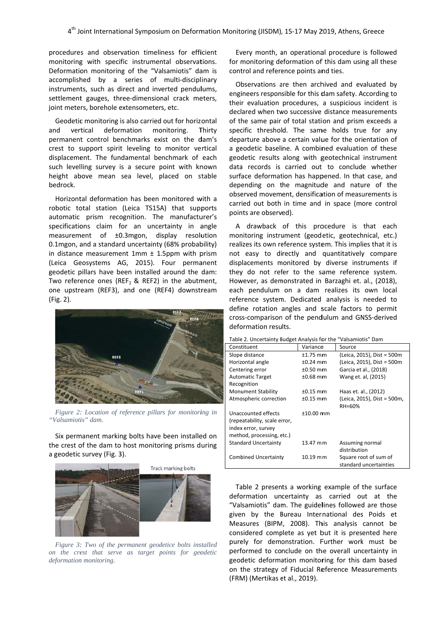procedures and observation timeliness for efficient monitoring with specific instrumental observations. Deformation monitoring of the "Valsamiotis" dam is accomplished by a series of multi-disciplinary instruments, such as direct and inverted pendulums, settlement gauges, three-dimensional crack meters, joint meters, borehole extensometers, etc.

Geodetic monitoring is also carried out for horizontal and vertical deformation monitoring. T permanent control benchmarks exist on the dam's crest to support spirit leveling to monitor vertical displacement. The fundamental benchmark of each such level ling survey i s a secure p point with kn nown height above mean sea level, placed on stable bedrock. Thirty

Horizontal deformation has been monitored with a robotic total station (Leica TS15A) that supports automatic prism recognition. The manufacturer's specifications claim for an uncertainty in angle measurement of ±0.3mgon, display resolution 0.1mgon, and a standard uncertainty (68% probability) in distance measurement 1mm ± 1.5ppm with prism (Leica Geosystems AG, 2015). Four permanent geodetic p pillars have b een installed around the dam: Two reference ones (REF $_1$  & REF2) in the abutment, one upstream (REF3), and one (REF4) downstream (Fig. 2).



*Figure 2: Location of reference pillars for monitoring in "Valsamioti is" dam.* 

Six permanent marking bolts have been installed on the crest of the dam to host monitoring prisms during a geodetic survey (Fig. 3 3).



Figure 3: Two of the permanent geodetice bolts installed *on the crest that serve as target points for geodetic deformation n monitoring.* 

Every month, an operational procedure is followed for monitoring deformation of this dam using all these control and reference points and ties.

Observations are then archived and evaluated by engineers responsible for this dam safety. According to thei r evaluation procedures, a suspicious incident is declared when two successive distance measurements of the same pair of total station and prism exceeds a specific threshold. The same holds true for any departure above a certain value for the orientation of a geodetic baseline. A combined evaluation of these geodetic results along with geotechnical instrument data records is carried out to conclude whether surface deformation has happened. In that case, and depending on the magnitude and nature of the observed movement, densification of measurements is carr ied out both in time and in space (m ore control points are observed).

A drawback of this procedure is that each monitoring instrument (geodetic, geotechnical, etc.) realizes its own reference system. This implies that it is not easy to directly and quantitatively compare displacements monitored by diverse instruments if they do not refer to the same reference system. However, as demonstrated in Barzaghi et. al., (2018), each h pendulum on a dam realizes its own local reference system. Dedicated analysis is needed to define rotation angles and scale factors to permit cross-comparison of the pendulum and GNSS-derived deformation results.

Table 2. Uncertainty Budget Analysis for the "Valsamiotis" Dam

| Table E. Officer tallity bauget / that you not tried                                                    |             | $"$ undurinotid Durin                           |
|---------------------------------------------------------------------------------------------------------|-------------|-------------------------------------------------|
| Constituent                                                                                             | Variance    | Source                                          |
| Slope distance                                                                                          | $±1.75$ mm  | (Leica, 2015), Dist = 500m                      |
| Horizontal angle                                                                                        | $±0.24$ mm  | (Leica, 2015), Dist = 500m                      |
| Centering error                                                                                         | $±0.50$ mm  | Garcia et al., (2018)                           |
| <b>Automatic Target</b>                                                                                 | $±0.68$ mm  | Wang et. al, (2015)                             |
| Recognition                                                                                             |             |                                                 |
| <b>Monument Stability</b>                                                                               | $±0.15$ mm  | Haas et. al., (2012)                            |
| Atmospheric correction                                                                                  | $±0.15$ mm  | (Leica, 2015), Dist = 500m,<br>RH=60%           |
| Unaccounted effects<br>(repeatability, scale error,<br>index error, survey<br>method, processing, etc.) | $±10.00$ mm |                                                 |
| <b>Standard Uncertainty</b>                                                                             | 13.47 mm    | Assuming normal<br>distribution                 |
| <b>Combined Uncertainty</b>                                                                             | $10.19$ mm  | Square root of sum of<br>standard uncertainties |

Table 2 presents a working example of the surface deformation uncertainty as carried out at the "Valsamiotis" dam. The guidelines followed are those give n by the B Bureau Inter national des s Poids et Measures (BIPM, 2008). This analysis cannot be considered complete as yet but it is presented here purely for demonstration. Further work must be performed to conclude on the overall uncertainty in geodetic deformation monitoring for this dam based on the strategy of Fiducial Reference Measurements (FRM) (Mertikas et al., 2019).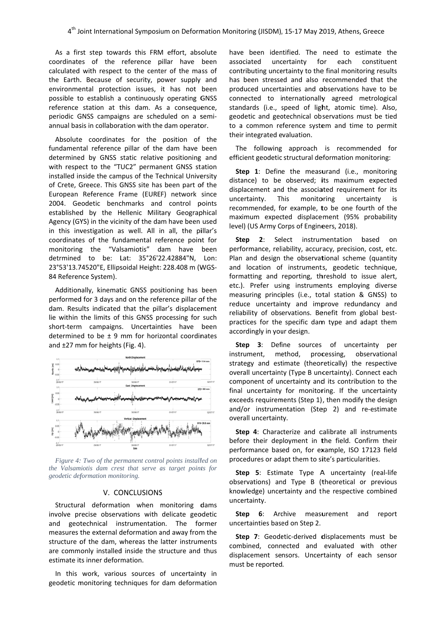As a first step towards this FRM effort, absolute coordinates of the reference pillar have been calculated with respect to the center of the mass of the Earth. Because of security, power supply and environmental protection issues, it has not been possible to establish a continuously operating GNSS reference station at this dam. As a consequence, periodic GNSS campaigns are scheduled on a semiannual basis in collaboration with the dam operator.

Absolute coordinates for the position of the fundamental reference pillar of the dam have been determined by GNSS static relative positioning and with respect to the "TUC2" permanent GNSS station installed inside the campus of the Technical University of Crete, Greece. This GNSS site has been part of the European Reference Frame (EUREF) network since 2004. Geodetic benchmarks and control points established by the Hellenic Military Geographical Agency (GYS) in the vicinity of the dam have been used in this investigation as well. All in all, the pillar's coordinates of the fundamental reference point for monitoring g the "Val samiotis" d am have been detrmined to be: L Lat: 35°26'2 22.42884"N, Lon: 23°53'13.74520"E, Ellipsoidal Height: 228.408 m (WGS-84 Reference System).

Additionally, kinematic GNSS positioning has been performed for 3 days and on the reference pillar of the dam. Results indicated that the pillar's displacement lie within the limits of this GNSS processing for such short-term campaigns. Uncertainties have been determined to be  $\pm$  9 mm for horizontal coordinates and ±27 mm for heights (Fig. 4).



Figure 4: Two of the permanent control points installed on *the Valsamiotis dam crest that serve as target points for geodetic def formation moni itoring.* 

# V. CONCLUSIONS

V. CONCLUSIONS<br>Structural deformation when monitoring dams involve precise observations with delicate geodetic and geotechnical instrumentation. The former measures the external deformation and away from the structure of the dam, whereas the latter instruments are commonly installed inside the structure and thus estimate its inner deformation.

In this work, various sources of uncertainty in geodetic monitoring techniques for dam deformation have been identified. The need to estimate the asso ociated unc contributing uncertainty to the final monitoring results has been stressed and also recommended that the produced uncertainties and observations have to be connected to internationally agreed metrological standards (i.e., speed of light, atomic time). Also, geodetic and geotechnical observations must be tied to a common reference system and time to permit their integrated evaluation. uncertainty for each constituent

Th he following approach is recomm ended for efficient geodetic structural deformation monitoring:

**Step 1**: Define the measurand (i.e., monitoring distance) to be observed; its maximum expected displacement and the associated requirement for its uncertainty. Th recommended, for example, to be one fourth of the maximum expected displacement (95% probability level) (US Army Corps of Engineers, 2018). his monitoring uncer uncertainty is

**Step 2**: Select instrumentation b performance, reliability, accuracy, precision, cost, etc. Plan and design the observational scheme (quantity and location of instruments, geodetic technique, formatting and reporting, threshold to issue alert, etc.). Prefer using instruments employing diverse measuring principles (i.e., total station & GNSS) to reduce uncertainty and improve redundancy and reliability of observations. Benefit from global bestpractices for the specific dam type and adapt them accordingly in your design. based on

**Step 3**: Define sources of uncertainty per instr rument, me strategy and estimate (theoretically) the respective overall uncertainty (Type B uncertainty). Connect each component of uncertainty and its contribution to the final uncertainty for monitoring. If the uncertainty exceeds requirements (Step 1), then modify the design and/or instrumentation (Step 2) and re-estimate overall uncertainty. method, processing, bservational

Step 4: Characterize and calibrate all instruments before their deployment in the field. Confirm their perf formance bas ed on, for ex xample, ISO 17123 field procedures or adapt them to site's particularities.

Step 5: Estimate Type A uncertainty (real-life observations) and Type B (theoretical or previous knowledge) uncertainty and the respective combined uncertainty.

**Step 6**: Archive measurement an uncertainties based on Step 2. report

Step 7: Geodetic-derived displacements must be combined, connected and evaluated with other displacement sensors. Uncertainty of each sensor must be reported.